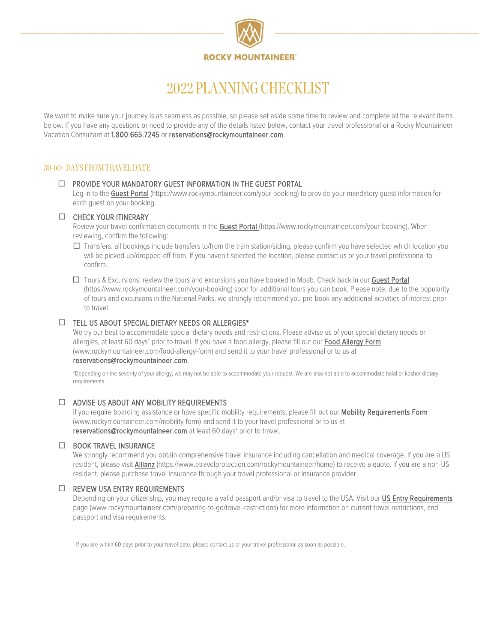

# 2022 PLANNING CHECKLIST

We want to make sure your journey is as seamless as possible, so please set aside some time to review and complete all the relevant items below. If you have any questions or need to provide any of the details listed below, contact your travel professional or a Rocky Mountaineer Vacation Consultant at 1.800.665.7245 o[r reservations@rockymountaineer.com.](mailto:reservations@rockymountaineer.com)

# 30-60+ DAYS FROM TRAVEL DATE

## $\Box$  PROVIDE YOUR MANDATORY GUEST INFORMATION IN THE GUEST PORTAL

Log in to the [Guest Portal](https://www.rockymountaineer.com/your-booking) [\(https://www.rockymountaineer.com/your-booking\)](https://www.rockymountaineer.com/your-booking) to provide your mandatory quest information for each guest on your booking.

#### CHECK YOUR ITINERARY

Review your travel confirmation documents in th[e Guest Portal \(https://www.rockymountaineer.com/your-booking\)](https://www.rockymountaineer.com/your-booking). When reviewing, confirm the following:

- $\Box$  Transfers: all bookings include transfers to/from the train station/siding, please confirm you have selected which location you will be picked-up/dropped-off from. If you haven't selected the location, please contact us or your travel professional to confirm.
- $\Box$  Tours & Excursions: review the tours and excursions you have booked in Moab. Check back in our Guest Portal [\(https://www.rockymountaineer.com/your-booking\)](https://www.rockymountaineer.com/your-booking) soon for additional tours you can book. Please note, due to the popularity of tours and excursions in the National Parks, we strongly recommend you pre-book any additional activities of interest prior to travel.

#### $\Box$  TELL US ABOUT SPECIAL DIETARY NEEDS OR ALLERGIES\*

We try our best to accommodate special dietary needs and restrictions. Please advise us of your special dietary needs or allergies, at least 60 days<sup>+</sup> prior to travel. If you have a food allergy, please fill out our Food Allergy Form [\(www.rockymountaineer.com/food-allergy-form\)](file://rmr04.rockymountaineer.com/home/Marketing/Brand%20Marketing/FY21%20(Nov%2020-Oct%2021)/FY21%20Projects/Guest%20Experience/Pre-Travel/Forms,%20Overviews%20&%20Checklist/Checklist/Planning/www.rockymountaineer.com/food-allergy-form) and send it to your travel professional or to us at

#### [reservations@rockymountaineer.com.](mailto:reservations@rockymountaineer.com)

\*Depending on the severity of your allergy, we may not be able to accommodate your request. We are also not able to accommodate halal or kosher dietary requirements.

#### ADVISE US ABOUT ANY MOBILITY REQUIREMENTS

If you require boarding assistance or have specific mobility requirements, please fill out our Mobility Requirements Form [\(www.rockymountaineer.com/mobility-form\)](file://rmr04.rockymountaineer.com/home/Marketing/Brand%20Marketing/FY21%20(Nov%2020-Oct%2021)/FY21%20Projects/Guest%20Experience/Pre-Travel/Forms,%20Overviews%20&%20Checklist/Checklist/Planning/www.rockymountaineer.com/mobility-form) and send it to your travel professional or to us at [reservations@rockymountaineer.com](mailto:reservations@rockymountaineer.com) at least 60 days† prior to travel.

#### **ED BOOK TRAVEL INSURANCE**

We strongly recommend you obtain comprehensive travel insurance including cancellation and medical coverage. If you are a US resident, please visit [Allianz](https://www.etravelprotection.com/rockymountaineer/home) [\(https://www.etravelprotection.com/rockymountaineer/home\)](https://www.etravelprotection.com/rockymountaineer/home) to receive a quote. If you are a non-US resident, please purchase travel insurance through your travel professional or insurance provider.

## $\Box$  REVIEW USA ENTRY REQUIREMENTS

Depending on your citizenship, you may require a valid passport and/or visa to travel to the USA. Visit our US Entry Requirements page [\(www.rockymountaineer.com/preparing-to-go/travel-restrictions\)](http://www.rockymountaineer.com/preparing-to-go/travel-restrictions) for more information on current travel restrictions, and passport and visa requirements.

† If you are within 60 days prior to your travel date, please contact us or your travel professional as soon as possible.